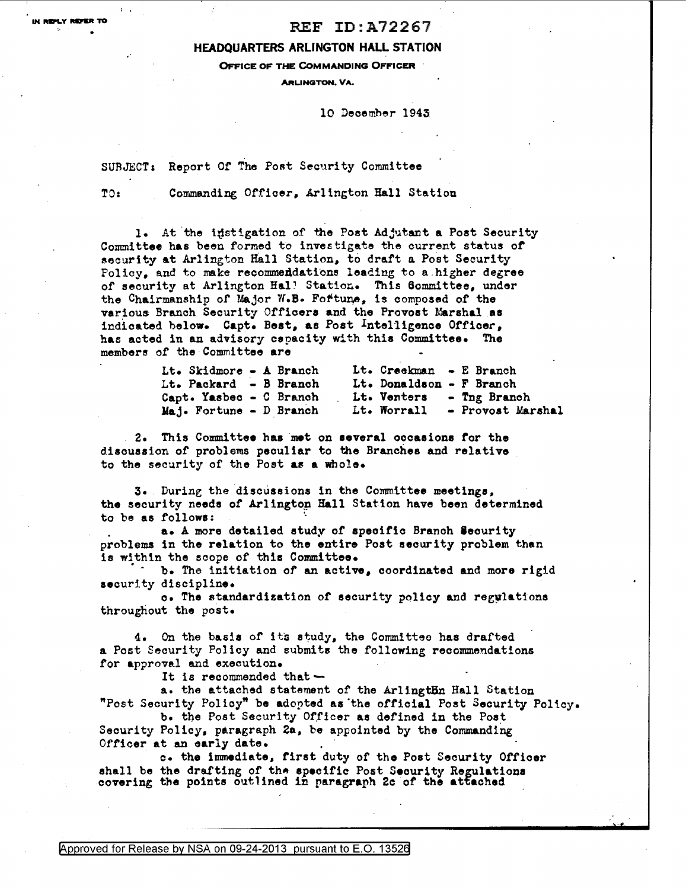## $\blacksquare$ <br> $\blacksquare$  REF ID:A72267

## HEADQUARTERS ARLINGTON HALL STATION

OFFICE OF THE COMMANDING OFFICER

ARUNGTON, VA.

10 December 1943

SURJECT: Report Of The Post Security Committee

TO: Commanding Officer, Arlington Hall Station

1. At the instigation of the Post Adjutant a Post Security Committee has been formed to investigate the current status of security at Arlington Hall Station, to draft a Post Security Policy, and to make recommendations leading to a, higher degree of security at Arlington Hal! Station. This 6ommittee, under the Chairmanship of Major W.B. Fortune, is composed of the various Branch Security Officers and the Provost Marshal as indicated below. Capt. Best, as Post Intelligence Officer, has acted in an advisory capacity with this Committee. The members of the Committee are

| Lt. Skidmore - A Branch |  |  | Lt. Creekman - E Branch  |                               |
|-------------------------|--|--|--------------------------|-------------------------------|
| Lt. Packard - B Branch  |  |  | Lt. Donaldson - F Branch |                               |
| Capt. Yasbec - C Branch |  |  |                          | Lt. Venters - Tng Branch      |
| Maj. Fortune - D Branch |  |  |                          | Lt. Worrall - Provost Marshal |

2. This Committee haa met on several occasions tor the disouasion of problems peculiar to the Branches and relative to the security of the Post a8 a whole.

3. During the discussions in the Committee meetings, the security needs of Arlington Hall Station have been determined to be as follows:

a. A more detailed study of speoitic Branoh leourity problems in the relation to the entire Poat security problem than is within the scope of this Committee.

b. The initiation of an active, coordinated and more rigid security discipline.

o. The standardization of security policy and regylations throughout the post.

4. On the basis of its study, the Committee has drafted a Post Security Policy and submits the following recommendations for approval and execution.

It is recommended that  $\sim$  a. the attached statement of the ArlingtBn Hall Station "Post Security Policy" be adopted as'the official Post Security Poltcy.

b. the Post Security Officer as defined in the Post Security Policy, paragraph 2a, be appointed by the Commanding Officer at an early date.

C• the immediate, first duty of the Post Security Officer shall be the drafting of the specific Post Security Regulations covering the points outlined in paragraph 2c of the attached